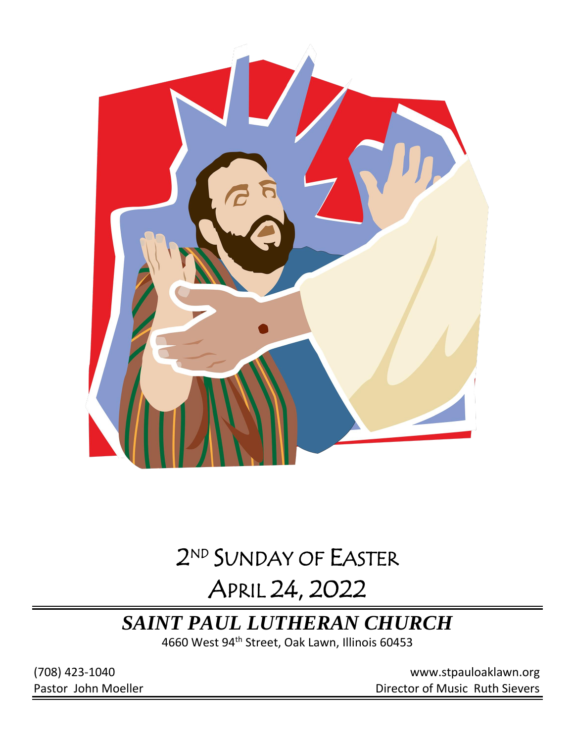

# 2 ND SUNDAY OF EASTER

# APRIL 24, 2022

## *SAINT PAUL LUTHERAN CHURCH*

4660 West 94<sup>th</sup> Street, Oak Lawn, Illinois 60453

(708) 423-1040 [www.stpauloaklawn.org](about:blank) Pastor John Moeller **Director of Music Ruth Sievers**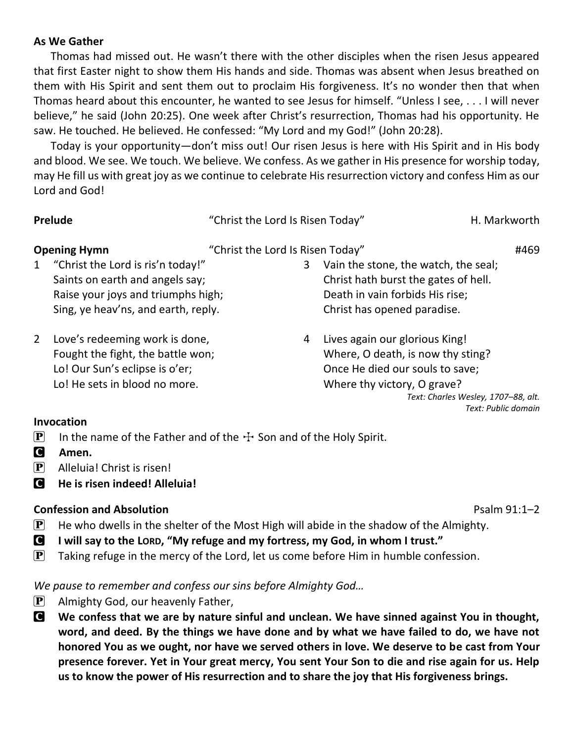#### **As We Gather**

Thomas had missed out. He wasn't there with the other disciples when the risen Jesus appeared that first Easter night to show them His hands and side. Thomas was absent when Jesus breathed on them with His Spirit and sent them out to proclaim His forgiveness. It's no wonder then that when Thomas heard about this encounter, he wanted to see Jesus for himself. "Unless I see, . . . I will never believe," he said (John 20:25). One week after Christ's resurrection, Thomas had his opportunity. He saw. He touched. He believed. He confessed: "My Lord and my God!" (John 20:28).

Today is your opportunity—don't miss out! Our risen Jesus is here with His Spirit and in His body and blood. We see. We touch. We believe. We confess. As we gather in His presence for worship today, may He fill us with great joy as we continue to celebrate His resurrection victory and confess Him as our Lord and God!

| Prelude             |                                                                                                                                                   | "Christ the Lord Is Risen Today" |                                                                                                                                                | H. Markworth                                               |
|---------------------|---------------------------------------------------------------------------------------------------------------------------------------------------|----------------------------------|------------------------------------------------------------------------------------------------------------------------------------------------|------------------------------------------------------------|
| <b>Opening Hymn</b> |                                                                                                                                                   | "Christ the Lord Is Risen Today" |                                                                                                                                                | #469                                                       |
| $1 \quad$           | "Christ the Lord is ris'n today!"<br>Saints on earth and angels say;<br>Raise your joys and triumphs high;<br>Sing, ye heav'ns, and earth, reply. | 3                                | Vain the stone, the watch, the seal;<br>Christ hath burst the gates of hell.<br>Death in vain forbids His rise;<br>Christ has opened paradise. |                                                            |
| $\overline{2}$      | Love's redeeming work is done,<br>Fought the fight, the battle won;<br>Lo! Our Sun's eclipse is o'er;<br>Lo! He sets in blood no more.            | 4                                | Lives again our glorious King!<br>Where, O death, is now thy sting?<br>Once He died our souls to save;<br>Where thy victory, O grave?          | Text: Charles Wesley, 1707-88, alt.<br>Text: Public domain |

#### **Invocation**

- **P** In the name of the Father and of the  $\pm$  Son and of the Holy Spirit.
- C **Amen.**
- $\mathbf{P}$  Alleluia! Christ is risen!
- C **He is risen indeed! Alleluia!**

#### **Confession and Absolution Psalm 91:1–2**

- 
- $\mathbf{P}$  He who dwells in the shelter of the Most High will abide in the shadow of the Almighty.
- C **I will say to the LORD, "My refuge and my fortress, my God, in whom I trust."**
- $\mathbf{P}$  Taking refuge in the mercy of the Lord, let us come before Him in humble confession.

#### *We pause to remember and confess our sins before Almighty God…*

- $\mathbf{P}$  Almighty God, our heavenly Father,
- C **We confess that we are by nature sinful and unclean. We have sinned against You in thought, word, and deed. By the things we have done and by what we have failed to do, we have not honored You as we ought, nor have we served others in love. We deserve to be cast from Your presence forever. Yet in Your great mercy, You sent Your Son to die and rise again for us. Help us to know the power of His resurrection and to share the joy that His forgiveness brings.**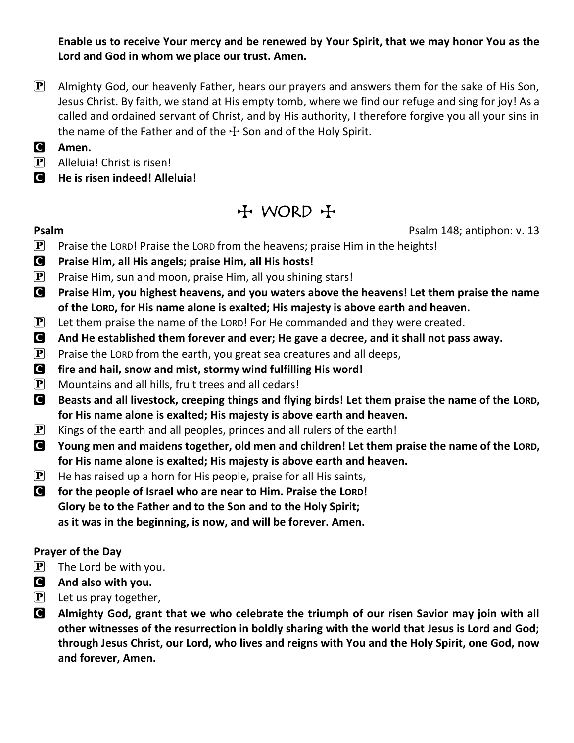**Enable us to receive Your mercy and be renewed by Your Spirit, that we may honor You as the Lord and God in whom we place our trust. Amen.**

- $\mathbf{P}$  Almighty God, our heavenly Father, hears our prayers and answers them for the sake of His Son, Jesus Christ. By faith, we stand at His empty tomb, where we find our refuge and sing for joy! As a called and ordained servant of Christ, and by His authority, I therefore forgive you all your sins in the name of the Father and of the  $\pm$  Son and of the Holy Spirit.
- C **Amen.**
- $\left| \mathbf{P} \right|$  Alleluia! Christ is risen!
- C **He is risen indeed! Alleluia!**

## $H$  WORD  $H$

**Psalm Psalm** 148; antiphon: v. 13

- **P** Praise the LORD! Praise the LORD from the heavens; praise Him in the heights!
- C **Praise Him, all His angels; praise Him, all His hosts!**
- **P** Praise Him, sun and moon, praise Him, all you shining stars!
- C **Praise Him, you highest heavens, and you waters above the heavens! Let them praise the name of the LORD, for His name alone is exalted; His majesty is above earth and heaven.**
- $\mathbf{P}$  Let them praise the name of the LORD! For He commanded and they were created.
- C **And He established them forever and ever; He gave a decree, and it shall not pass away.**
- **P** Praise the LORD from the earth, you great sea creatures and all deeps,
- C **fire and hail, snow and mist, stormy wind fulfilling His word!**
- $\left[ \mathbf{P} \right]$  Mountains and all hills, fruit trees and all cedars!
- C **Beasts and all livestock, creeping things and flying birds! Let them praise the name of the LORD, for His name alone is exalted; His majesty is above earth and heaven.**
- $\mathbf{P}$  Kings of the earth and all peoples, princes and all rulers of the earth!
- C **Young men and maidens together, old men and children! Let them praise the name of the LORD, for His name alone is exalted; His majesty is above earth and heaven.**
- $\mathbf{P}$  He has raised up a horn for His people, praise for all His saints,
- C **for the people of Israel who are near to Him. Praise the LORD! Glory be to the Father and to the Son and to the Holy Spirit; as it was in the beginning, is now, and will be forever. Amen.**

### **Prayer of the Day**

- $\left[\mathbf{P}\right]$  The Lord be with you.
- C **And also with you.**
- $\left| \mathbf{P} \right|$  Let us pray together,
- C **Almighty God, grant that we who celebrate the triumph of our risen Savior may join with all other witnesses of the resurrection in boldly sharing with the world that Jesus is Lord and God; through Jesus Christ, our Lord, who lives and reigns with You and the Holy Spirit, one God, now and forever, Amen.**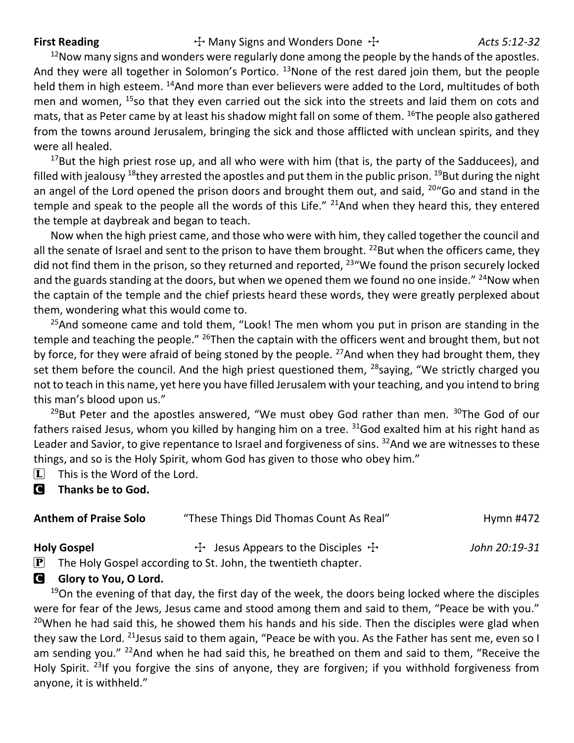#### First Reading **The Contract of Acts 5:12-32** The Many Signs and Wonders Done The *Acts 5:12-32*

 $12$ Now many signs and wonders were regularly done among the people by the hands of the apostles. And they were all together in Solomon's Portico. <sup>13</sup>None of the rest dared join them, but the people held them in high esteem. <sup>14</sup>And more than ever believers were added to the Lord, multitudes of both men and women, <sup>15</sup>so that they even carried out the sick into the streets and laid them on cots and mats, that as Peter came by at least his shadow might fall on some of them. <sup>16</sup>The people also gathered from the towns around Jerusalem, bringing the sick and those afflicted with unclean spirits, and they were all healed.

 $17$ But the high priest rose up, and all who were with him (that is, the party of the Sadducees), and filled with jealousy <sup>18</sup>they arrested the apostles and put them in the public prison. <sup>19</sup>But during the night an angel of the Lord opened the prison doors and brought them out, and said,  $20^{\circ}$  Go and stand in the temple and speak to the people all the words of this Life."  $21$ And when they heard this, they entered the temple at daybreak and began to teach.

Now when the high priest came, and those who were with him, they called together the council and all the senate of Israel and sent to the prison to have them brought. <sup>22</sup>But when the officers came, they did not find them in the prison, so they returned and reported, <sup>23</sup> We found the prison securely locked and the guards standing at the doors, but when we opened them we found no one inside."  $24$ Now when the captain of the temple and the chief priests heard these words, they were greatly perplexed about them, wondering what this would come to.

 $25$ And someone came and told them, "Look! The men whom you put in prison are standing in the temple and teaching the people." <sup>26</sup>Then the captain with the officers went and brought them, but not by force, for they were afraid of being stoned by the people. <sup>27</sup>And when they had brought them, they set them before the council. And the high priest questioned them,  $^{28}$ saying, "We strictly charged you not to teach in this name, yet here you have filled Jerusalem with your teaching, and you intend to bring this man's blood upon us."

 $^{29}$ But Peter and the apostles answered, "We must obey God rather than men.  $^{30}$ The God of our fathers raised Jesus, whom you killed by hanging him on a tree. <sup>31</sup>God exalted him at his right hand as Leader and Savior, to give repentance to Israel and forgiveness of sins. <sup>32</sup>And we are witnesses to these things, and so is the Holy Spirit, whom God has given to those who obey him."

 $\boxed{\mathbf{L}}$  This is the Word of the Lord.

C **Thanks be to God.**

| <b>Anthem of Praise Solo</b>                    | "These Things Did Thomas Count As Real"    | Hymn #472     |  |
|-------------------------------------------------|--------------------------------------------|---------------|--|
| <b>Holy Gospel</b><br>$\mathbf{E}$ $\mathbf{E}$ | $\pm$ Jesus Appears to the Disciples $\pm$ | John 20:19-31 |  |

 $\mathbf{P}$  The Holy Gospel according to St. John, the twentieth chapter.

#### **G** Glory to You, O Lord.

 $19$ On the evening of that day, the first day of the week, the doors being locked where the disciples were for fear of the Jews, Jesus came and stood among them and said to them, "Peace be with you."  $20$ When he had said this, he showed them his hands and his side. Then the disciples were glad when they saw the Lord. <sup>21</sup> Jesus said to them again, "Peace be with you. As the Father has sent me, even so I am sending you." <sup>22</sup>And when he had said this, he breathed on them and said to them, "Receive the Holy Spirit. <sup>23</sup>If you forgive the sins of anyone, they are forgiven; if you withhold forgiveness from anyone, it is withheld."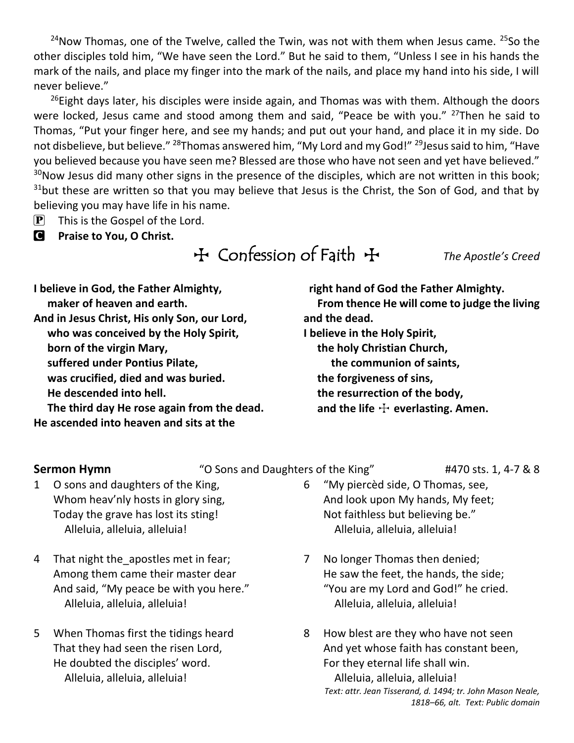$24$ Now Thomas, one of the Twelve, called the Twin, was not with them when Jesus came.  $25$ So the other disciples told him, "We have seen the Lord." But he said to them, "Unless I see in his hands the mark of the nails, and place my finger into the mark of the nails, and place my hand into his side, I will never believe."

<sup>26</sup>Eight days later, his disciples were inside again, and Thomas was with them. Although the doors were locked, Jesus came and stood among them and said, "Peace be with you."  $27$ Then he said to Thomas, "Put your finger here, and see my hands; and put out your hand, and place it in my side. Do not disbelieve, but believe." <sup>28</sup>Thomas answered him, "My Lord and my God!" <sup>29</sup>Jesus said to him, "Have you believed because you have seen me? Blessed are those who have not seen and yet have believed." <sup>30</sup>Now Jesus did many other signs in the presence of the disciples, which are not written in this book; <sup>31</sup>but these are written so that you may believe that Jesus is the Christ, the Son of God, and that by believing you may have life in his name.

- $[P]$  This is the Gospel of the Lord.
- C **Praise to You, O Christ.**

## T Confession of Faith T *The Apostle's Creed*

**I believe in God, the Father Almighty, maker of heaven and earth. And in Jesus Christ, His only Son, our Lord, who was conceived by the Holy Spirit, born of the virgin Mary, suffered under Pontius Pilate, was crucified, died and was buried. He descended into hell. The third day He rose again from the dead. He ascended into heaven and sits at the**

 **right hand of God the Father Almighty. From thence He will come to judge the living and the dead. I believe in the Holy Spirit,**

- **the holy Christian Church, the communion of saints, the forgiveness of sins, the resurrection of the body,**
	- and the life  $\pm$  everlasting. Amen.

**Sermon Hymn** "O Sons and Daughters of the King" #470 sts. 1, 4-7 & 8

- 1 O sons and daughters of the King, Whom heav'nly hosts in glory sing, Today the grave has lost its sting! Alleluia, alleluia, alleluia!
- 4 That night the\_apostles met in fear; Among them came their master dear And said, "My peace be with you here." Alleluia, alleluia, alleluia!
- 5 When Thomas first the tidings heard That they had seen the risen Lord, He doubted the disciples' word. Alleluia, alleluia, alleluia!
- 6 "My piercèd side, O Thomas, see, And look upon My hands, My feet; Not faithless but believing be." Alleluia, alleluia, alleluia!
- 7 No longer Thomas then denied; He saw the feet, the hands, the side; "You are my Lord and God!" he cried. Alleluia, alleluia, alleluia!
- 8 How blest are they who have not seen And yet whose faith has constant been, For they eternal life shall win. Alleluia, alleluia, alleluia! *Text: attr. Jean Tisserand, d. 1494; tr. John Mason Neale, 1818–66, alt. Text: Public domain*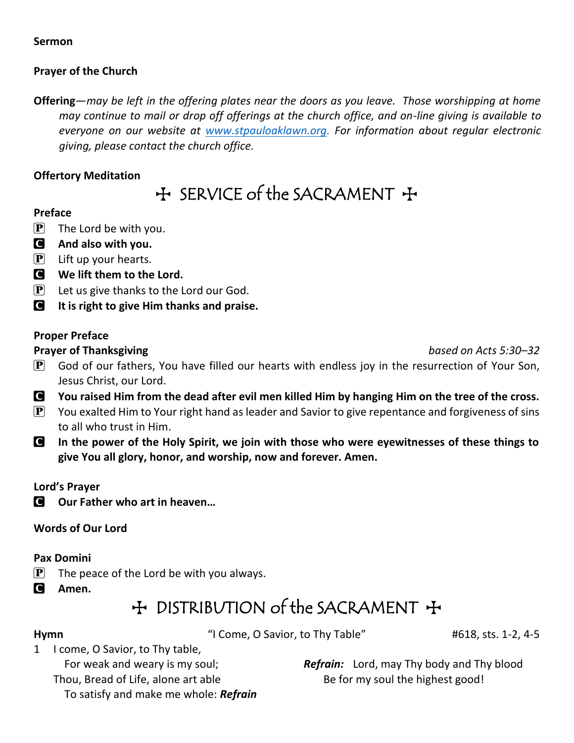#### **Sermon**

#### **Prayer of the Church**

**Offering**—*may be left in the offering plates near the doors as you leave. Those worshipping at home may continue to mail or drop off offerings at the church office, and on-line giving is available to everyone on our website at [www.stpauloaklawn.org.](http://www.stpauloaklawn.org/) For information about regular electronic giving, please contact the church office.* 

#### **Offertory Meditation**

## + SERVICE of the SACRAMENT +

#### **Preface**

- $\left| \mathbf{P} \right|$  The Lord be with you.
- C **And also with you.**
- $\left| \mathbf{P} \right|$  Lift up your hearts.
- C **We lift them to the Lord.**
- $\mathbf{P}$  Let us give thanks to the Lord our God.
- C **It is right to give Him thanks and praise.**

### **Proper Preface**

**Prayer of Thanksgiving** *based on Acts 5:30–32*

- $\mathbf{P}$  God of our fathers, You have filled our hearts with endless joy in the resurrection of Your Son, Jesus Christ, our Lord.
- C **You raised Him from the dead after evil men killed Him by hanging Him on the tree of the cross.**
- $\mathbf{P}$  You exalted Him to Your right hand as leader and Savior to give repentance and forgiveness of sins to all who trust in Him.
- C **In the power of the Holy Spirit, we join with those who were eyewitnesses of these things to give You all glory, honor, and worship, now and forever. Amen.**

#### **Lord's Prayer**

C **Our Father who art in heaven…**

### **Words of Our Lord**

#### **Pax Domini**

- $\left| \mathbf{P} \right|$  The peace of the Lord be with you always.
- C **Amen.**

## $H$  DISTRIBUTION of the SACRAMENT  $H$

Hymn **Hymn**  $\lvert$  Come, O Savior, to Thy Table"  $\lvert$  #618, sts. 1-2, 4-5

- 1 I come, O Savior, to Thy table,
	- For weak and weary is my soul;
	- Thou, Bread of Life, alone art able

To satisfy and make me whole: *Refrain*

*Refrain:* Lord, may Thy body and Thy blood Be for my soul the highest good!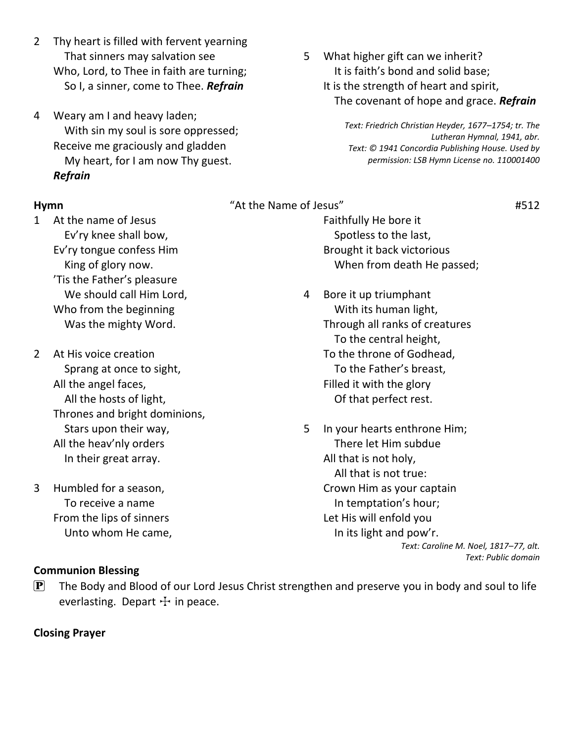- 2 Thy heart is filled with fervent yearning That sinners may salvation see Who, Lord, to Thee in faith are turning; So I, a sinner, come to Thee. *Refrain*
- 4 Weary am I and heavy laden; With sin my soul is sore oppressed; Receive me graciously and gladden My heart, for I am now Thy guest. *Refrain*

#### **Hymn**  $\qquad$   $\qquad$   $\qquad$   $\qquad$   $\qquad$   $\qquad$   $\qquad$   $\qquad$   $\qquad$   $\qquad$   $\qquad$   $\qquad$   $\qquad$   $\qquad$   $\qquad$   $\qquad$   $\qquad$   $\qquad$   $\qquad$   $\qquad$   $\qquad$   $\qquad$   $\qquad$   $\qquad$   $\qquad$   $\qquad$   $\qquad$   $\qquad$   $\qquad$   $\qquad$   $\qquad$   $\qquad$   $\qquad$   $\qquad$   $\qquad$   $\qquad$

5 What higher gift can we inherit? It is faith's bond and solid base; It is the strength of heart and spirit, The covenant of hope and grace. *Refrain*

> *Text: Friedrich Christian Heyder, 1677–1754; tr. The Lutheran Hymnal, 1941, abr. Text: © 1941 Concordia Publishing House. Used by permission: LSB Hymn License no. 110001400*

### 1 At the name of Jesus Ev'ry knee shall bow, Ev'ry tongue confess Him King of glory now. 'Tis the Father's pleasure We should call Him Lord, Who from the beginning Was the mighty Word.

- 2 At His voice creation Sprang at once to sight, All the angel faces, All the hosts of light, Thrones and bright dominions, Stars upon their way, All the heav'nly orders In their great array.
- 3 Humbled for a season, To receive a name From the lips of sinners Unto whom He came,

## Faithfully He bore it Spotless to the last,

Brought it back victorious When from death He passed;

- 4 Bore it up triumphant With its human light, Through all ranks of creatures To the central height, To the throne of Godhead, To the Father's breast, Filled it with the glory Of that perfect rest.
- 5 In your hearts enthrone Him; There let Him subdue All that is not holy, All that is not true: Crown Him as your captain In temptation's hour; Let His will enfold you In its light and pow'r. *Text: Caroline M. Noel, 1817–77, alt.*

*Text: Public domain*

#### **Communion Blessing**

 $\mathbf{P}$  The Body and Blood of our Lord Jesus Christ strengthen and preserve you in body and soul to life everlasting. Depart  $\pm$  in peace.

### **Closing Prayer**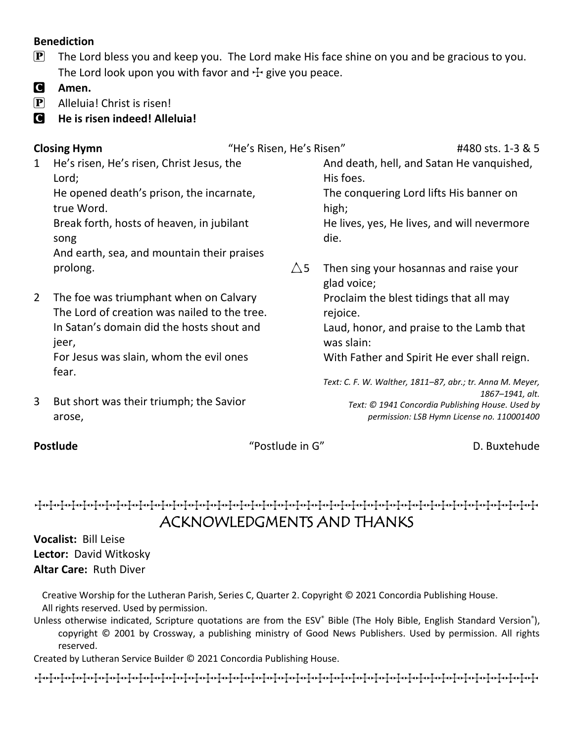### **Benediction**

- $\mathbf{P}$  The Lord bless you and keep you. The Lord make His face shine on you and be gracious to you. The Lord look upon you with favor and  $\pm$  give you peace.
- C **Amen.**
- $\left| \mathbf{P} \right|$  Alleluia! Christ is risen!
- C **He is risen indeed! Alleluia!**

| <b>Closing Hymn</b> |                                                                                        | "He's Risen, He's Risen" |                                                           | #480 sts. 1-3 & 5                          |
|---------------------|----------------------------------------------------------------------------------------|--------------------------|-----------------------------------------------------------|--------------------------------------------|
| $\mathbf{1}$        | He's risen, He's risen, Christ Jesus, the<br>Lord;                                     |                          | And death, hell, and Satan He vanquished,<br>His foes.    |                                            |
|                     | He opened death's prison, the incarnate,<br>true Word.                                 |                          | The conquering Lord lifts His banner on<br>high;          |                                            |
|                     | Break forth, hosts of heaven, in jubilant<br>song                                      |                          | He lives, yes, He lives, and will nevermore<br>die.       |                                            |
|                     | And earth, sea, and mountain their praises                                             |                          |                                                           |                                            |
|                     | prolong.                                                                               | $\triangle$ 5            | Then sing your hosannas and raise your<br>glad voice;     |                                            |
| $\overline{2}$      | The foe was triumphant when on Calvary<br>The Lord of creation was nailed to the tree. |                          | Proclaim the blest tidings that all may<br>rejoice.       |                                            |
|                     | In Satan's domain did the hosts shout and<br>jeer,                                     |                          | Laud, honor, and praise to the Lamb that<br>was slain:    |                                            |
|                     | For Jesus was slain, whom the evil ones<br>fear.                                       |                          | With Father and Spirit He ever shall reign.               |                                            |
|                     |                                                                                        |                          | Text: C. F. W. Walther, 1811-87, abr.; tr. Anna M. Meyer, | 1867-1941, alt.                            |
| 3                   | But short was their triumph; the Savior<br>arose,                                      |                          | Text: © 1941 Concordia Publishing House. Used by          | permission: LSB Hymn License no. 110001400 |

**Postlude** The Postlude in G<sup>"</sup> Postlude in G" D. Buxtehude

### TTTTTTTTTTTTTTTTTTTTTTTTTTTTTTTTTTTTTTTTTTTTT ACKNOWLEDGMENTS AND THANKS

**Vocalist:** Bill Leise **Lector:** David Witkosky **Altar Care:** Ruth Diver

Creative Worship for the Lutheran Parish, Series C, Quarter 2. Copyright © 2021 Concordia Publishing House. All rights reserved. Used by permission.

Unless otherwise indicated, Scripture quotations are from the ESV® Bible (The Holy Bible, English Standard Version®), copyright © 2001 by Crossway, a publishing ministry of Good News Publishers. Used by permission. All rights reserved.

Created by Lutheran Service Builder © 2021 Concordia Publishing House.

TTTTTTTTTTTTTTTTTTTTTTTTTTTTTTTTTTTTTTTTTTTTT